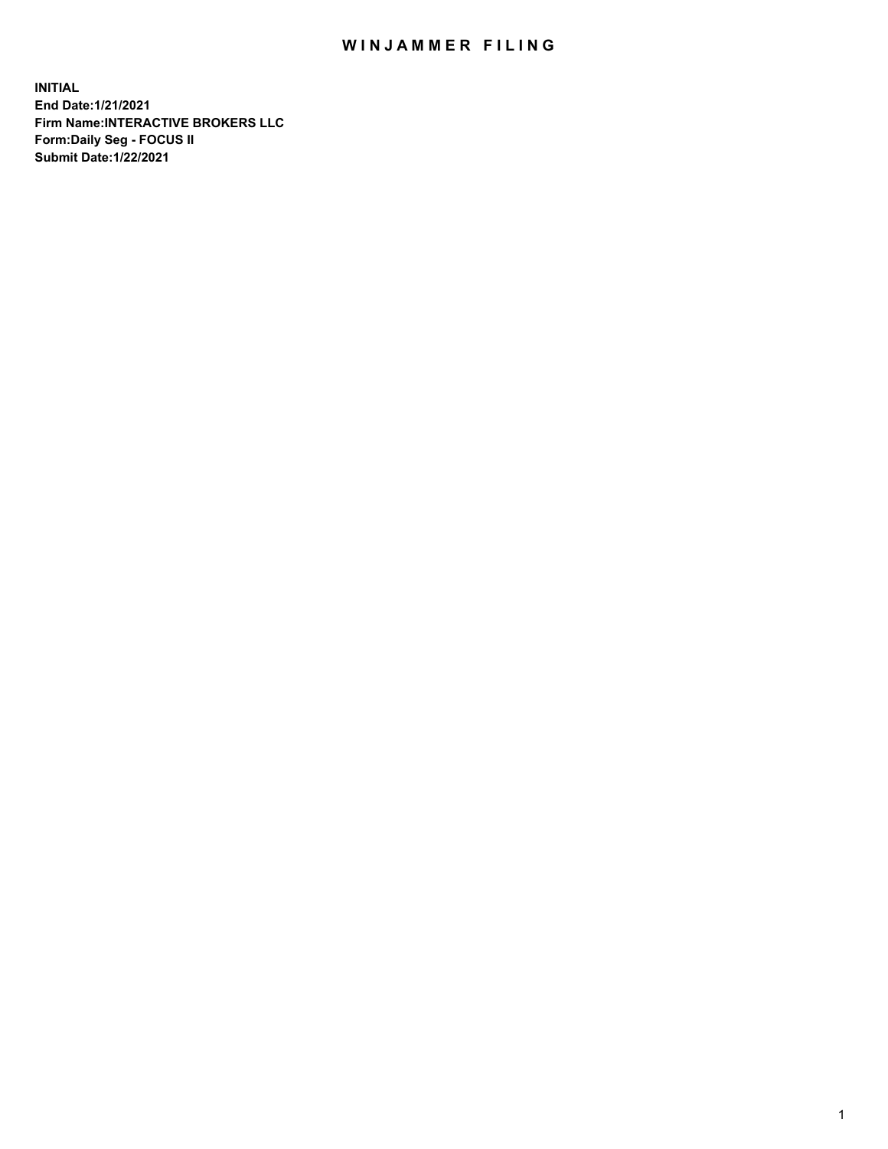## WIN JAMMER FILING

**INITIAL End Date:1/21/2021 Firm Name:INTERACTIVE BROKERS LLC Form:Daily Seg - FOCUS II Submit Date:1/22/2021**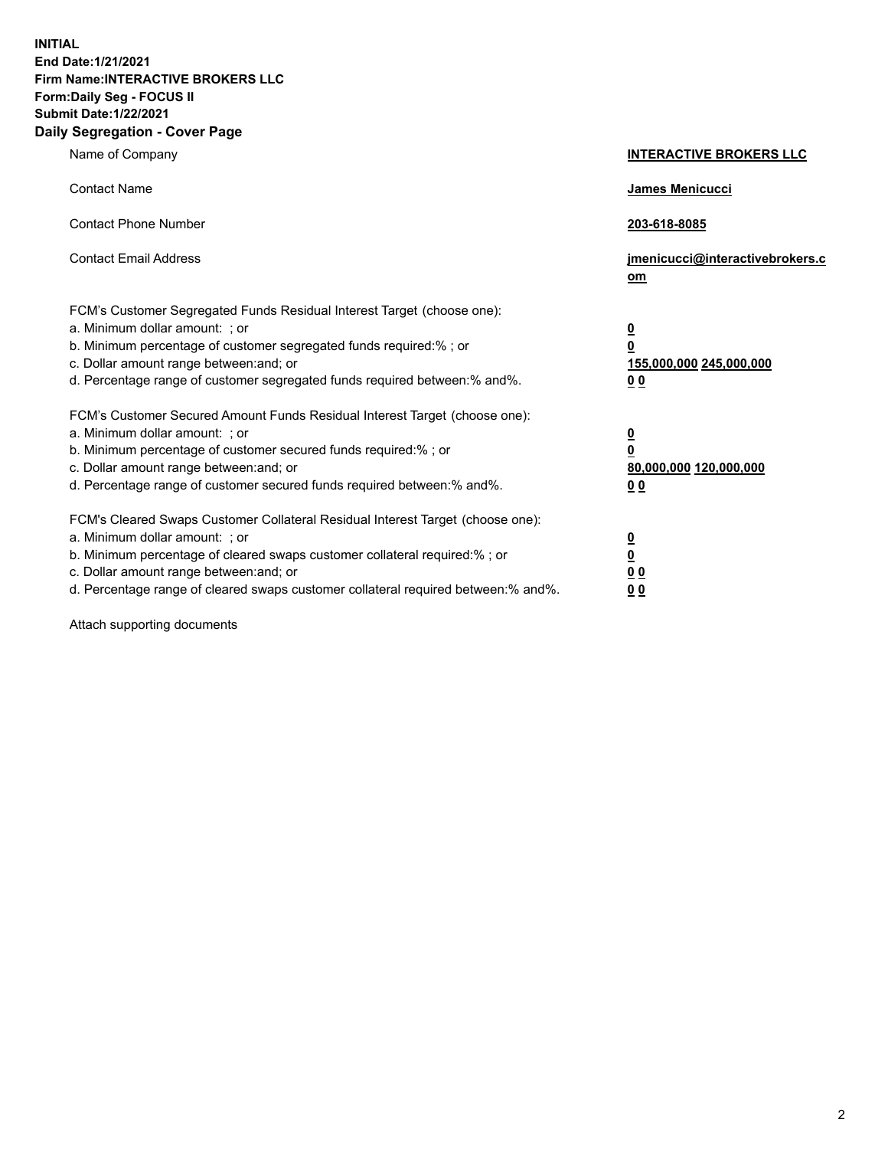**INITIAL End Date:1/21/2021 Firm Name:INTERACTIVE BROKERS LLC Form:Daily Seg - FOCUS II Submit Date:1/22/2021 Daily Segregation - Cover Page**

| Name of Company                                                                                                                                                                                                                                                                                                               | <b>INTERACTIVE BROKERS LLC</b>                                                            |  |
|-------------------------------------------------------------------------------------------------------------------------------------------------------------------------------------------------------------------------------------------------------------------------------------------------------------------------------|-------------------------------------------------------------------------------------------|--|
| <b>Contact Name</b>                                                                                                                                                                                                                                                                                                           | James Menicucci                                                                           |  |
| <b>Contact Phone Number</b>                                                                                                                                                                                                                                                                                                   | 203-618-8085                                                                              |  |
| <b>Contact Email Address</b>                                                                                                                                                                                                                                                                                                  | jmenicucci@interactivebrokers.c<br><u>om</u>                                              |  |
| FCM's Customer Segregated Funds Residual Interest Target (choose one):<br>a. Minimum dollar amount: ; or<br>b. Minimum percentage of customer segregated funds required:% ; or<br>c. Dollar amount range between: and; or<br>d. Percentage range of customer segregated funds required between: % and %.                      | $\overline{\mathbf{0}}$<br>0<br>155,000,000 245,000,000<br>0 <sub>0</sub>                 |  |
| FCM's Customer Secured Amount Funds Residual Interest Target (choose one):<br>a. Minimum dollar amount: ; or<br>b. Minimum percentage of customer secured funds required:%; or<br>c. Dollar amount range between: and; or<br>d. Percentage range of customer secured funds required between:% and%.                           | <u>0</u><br>$\overline{\mathbf{0}}$<br>80,000,000 120,000,000<br>00                       |  |
| FCM's Cleared Swaps Customer Collateral Residual Interest Target (choose one):<br>a. Minimum dollar amount: ; or<br>b. Minimum percentage of cleared swaps customer collateral required:%; or<br>c. Dollar amount range between: and; or<br>d. Percentage range of cleared swaps customer collateral required between:% and%. | <u>0</u><br>$\underline{\mathbf{0}}$<br>$\underline{0}$ $\underline{0}$<br>0 <sub>0</sub> |  |

Attach supporting documents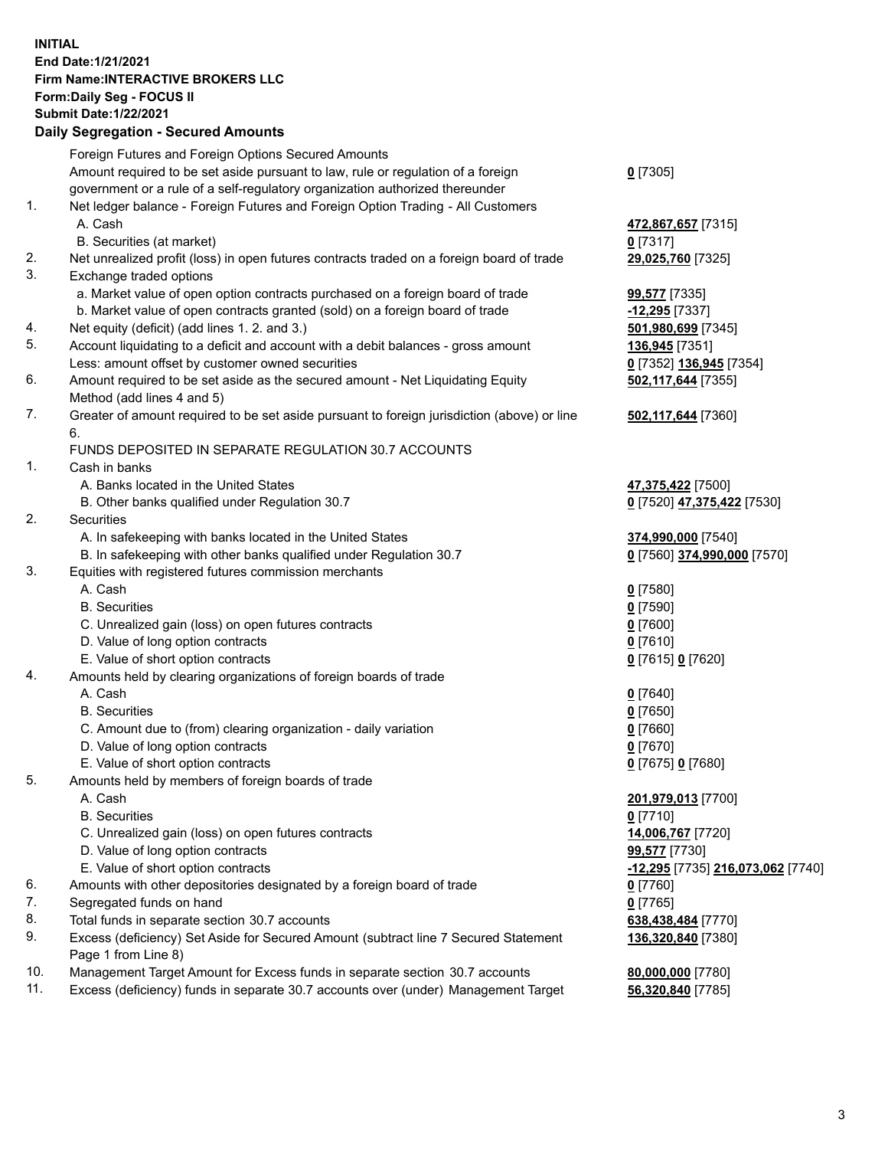**INITIAL End Date:1/21/2021 Firm Name:INTERACTIVE BROKERS LLC Form:Daily Seg - FOCUS II Submit Date:1/22/2021 Daily Segregation - Secured Amounts**

## Foreign Futures and Foreign Options Secured Amounts Amount required to be set aside pursuant to law, rule or regulation of a foreign government or a rule of a self-regulatory organization authorized thereunder **0** [7305] 1. Net ledger balance - Foreign Futures and Foreign Option Trading - All Customers A. Cash **472,867,657** [7315] B. Securities (at market) **0** [7317] 2. Net unrealized profit (loss) in open futures contracts traded on a foreign board of trade **29,025,760** [7325] 3. Exchange traded options a. Market value of open option contracts purchased on a foreign board of trade **99,577** [7335] b. Market value of open contracts granted (sold) on a foreign board of trade **-12,295** [7337] 4. Net equity (deficit) (add lines 1. 2. and 3.) **501,980,699** [7345] 5. Account liquidating to a deficit and account with a debit balances - gross amount **136,945** [7351] Less: amount offset by customer owned securities **0** [7352] **136,945** [7354] 6. Amount required to be set aside as the secured amount - Net Liquidating Equity Method (add lines 4 and 5) **502,117,644** [7355] 7. Greater of amount required to be set aside pursuant to foreign jurisdiction (above) or line 6. **502,117,644** [7360] FUNDS DEPOSITED IN SEPARATE REGULATION 30.7 ACCOUNTS 1. Cash in banks A. Banks located in the United States **47,375,422** [7500] B. Other banks qualified under Regulation 30.7 **0** [7520] **47,375,422** [7530] 2. Securities A. In safekeeping with banks located in the United States **374,990,000** [7540] B. In safekeeping with other banks qualified under Regulation 30.7 **0** [7560] **374,990,000** [7570] 3. Equities with registered futures commission merchants A. Cash **0** [7580] B. Securities **0** [7590] C. Unrealized gain (loss) on open futures contracts **0** [7600] D. Value of long option contracts **0** [7610] E. Value of short option contracts **0** [7615] **0** [7620] 4. Amounts held by clearing organizations of foreign boards of trade A. Cash **0** [7640] B. Securities **0** [7650] C. Amount due to (from) clearing organization - daily variation **0** [7660] D. Value of long option contracts **0** [7670] E. Value of short option contracts **0** [7675] **0** [7680] 5. Amounts held by members of foreign boards of trade A. Cash **201,979,013** [7700] B. Securities **0** [7710] C. Unrealized gain (loss) on open futures contracts **14,006,767** [7720] D. Value of long option contracts **99,577** [7730] E. Value of short option contracts **-12,295** [7735] **216,073,062** [7740] 6. Amounts with other depositories designated by a foreign board of trade **0** [7760] 7. Segregated funds on hand **0** [7765] 8. Total funds in separate section 30.7 accounts **638,438,484** [7770] 9. Excess (deficiency) Set Aside for Secured Amount (subtract line 7 Secured Statement Page 1 from Line 8) **136,320,840** [7380] 10. Management Target Amount for Excess funds in separate section 30.7 accounts **80,000,000** [7780] 11. Excess (deficiency) funds in separate 30.7 accounts over (under) Management Target **56,320,840** [7785]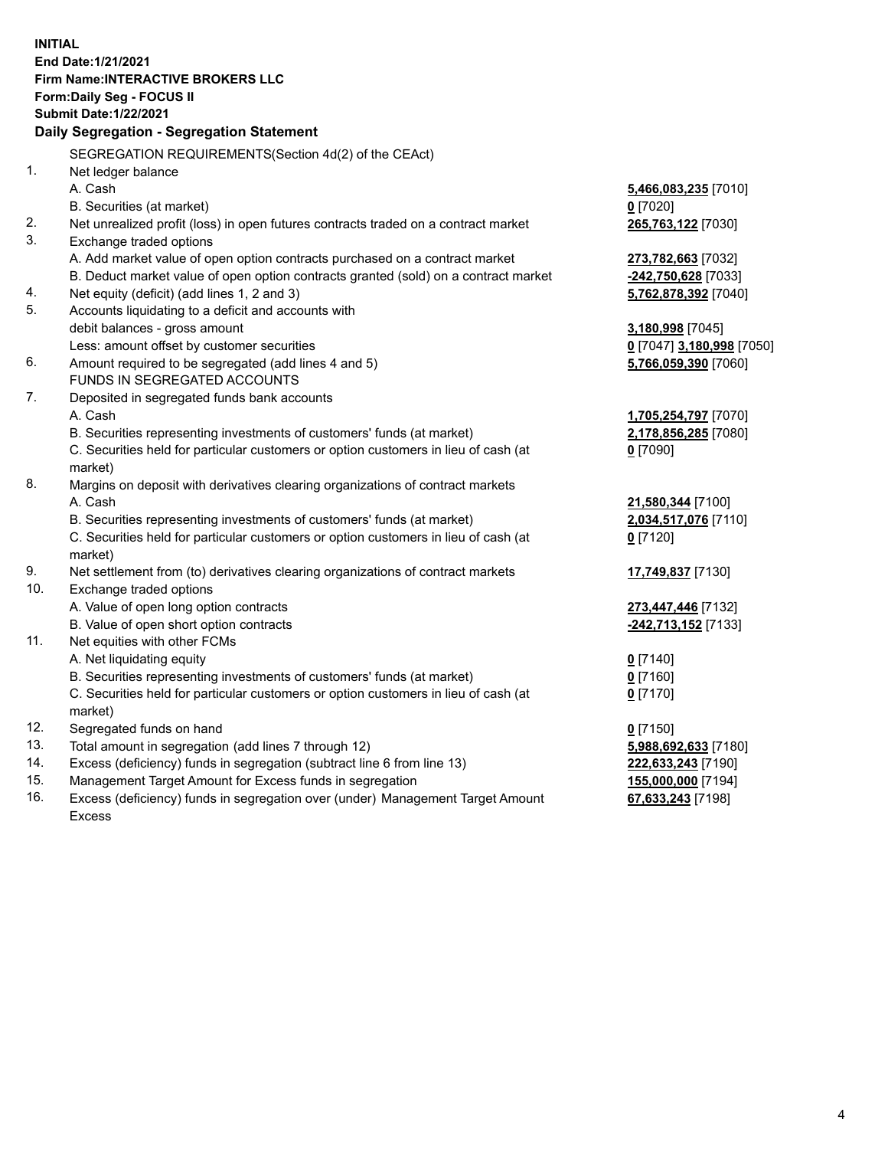**INITIAL End Date:1/21/2021 Firm Name:INTERACTIVE BROKERS LLC Form:Daily Seg - FOCUS II Submit Date:1/22/2021 Daily Segregation - Segregation Statement** SEGREGATION REQUIREMENTS(Section 4d(2) of the CEAct) 1. Net ledger balance A. Cash **5,466,083,235** [7010] B. Securities (at market) **0** [7020] 2. Net unrealized profit (loss) in open futures contracts traded on a contract market **265,763,122** [7030] 3. Exchange traded options A. Add market value of open option contracts purchased on a contract market **273,782,663** [7032] B. Deduct market value of open option contracts granted (sold) on a contract market **-242,750,628** [7033] 4. Net equity (deficit) (add lines 1, 2 and 3) **5,762,878,392** [7040] 5. Accounts liquidating to a deficit and accounts with debit balances - gross amount **3,180,998** [7045] Less: amount offset by customer securities **0** [7047] **3,180,998** [7050] 6. Amount required to be segregated (add lines 4 and 5) **5,766,059,390** [7060] FUNDS IN SEGREGATED ACCOUNTS 7. Deposited in segregated funds bank accounts A. Cash **1,705,254,797** [7070] B. Securities representing investments of customers' funds (at market) **2,178,856,285** [7080] C. Securities held for particular customers or option customers in lieu of cash (at market) **0** [7090] 8. Margins on deposit with derivatives clearing organizations of contract markets A. Cash **21,580,344** [7100] B. Securities representing investments of customers' funds (at market) **2,034,517,076** [7110] C. Securities held for particular customers or option customers in lieu of cash (at market) **0** [7120] 9. Net settlement from (to) derivatives clearing organizations of contract markets **17,749,837** [7130] 10. Exchange traded options A. Value of open long option contracts **273,447,446** [7132] B. Value of open short option contracts **-242,713,152** [7133] 11. Net equities with other FCMs A. Net liquidating equity **0** [7140] B. Securities representing investments of customers' funds (at market) **0** [7160] C. Securities held for particular customers or option customers in lieu of cash (at market) **0** [7170] 12. Segregated funds on hand **0** [7150] 13. Total amount in segregation (add lines 7 through 12) **5,988,692,633** [7180] 14. Excess (deficiency) funds in segregation (subtract line 6 from line 13) **222,633,243** [7190] 15. Management Target Amount for Excess funds in segregation **155,000,000** [7194] **67,633,243** [7198]

16. Excess (deficiency) funds in segregation over (under) Management Target Amount Excess